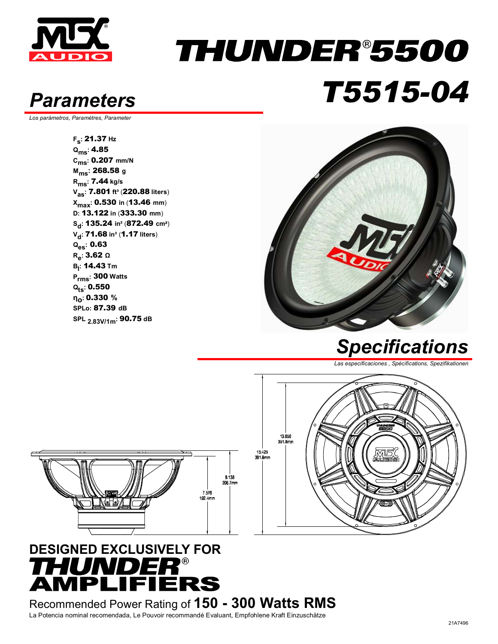

### THUNDER®5500 *Parameters T5515-04*

*Los parámetros, Paramètres, Parameter* 

**Fs:** 21.37 **Hz Qms:** 4.85 **Cms:** 0.207 **mm/N Mms:** 268.58 **<sup>g</sup> Rms:** 7.44 **kg/s Vas:** 7.801 **ft³** (220.88 **liters**) **Xmax:** 0.530 **in** (13.46 **mm**) **D:** 13.122 **in** (333.30 **mm**) **Sd:** 135.24 **in²** (872.49 **cm**²) **V<sub>d</sub>: 71.68 in<sup>3</sup> (1.17 liters) Qes:** 0.63 **Re:** 3.62 **<sup>Ω</sup> Bl :** 14.43 **Tm Prms:** 300 **Watts Qts:** 0.550 **ηο:** 0.330 **% SPLo:** 87.39 **dB SPL 2.83V/1m:** 90.75 **dB**



*Specifications*

*Las especificaciones , Spécifications, Spezifikationen* 





#### **DESIGNED EXCLUSIVELY FOR HUNDER®<br>MPLIFIERS**

Recommended Power Rating of **150 - 300 Watts RMS** La Potencia nominal recomendada, Le Pouvoir recommandé Evaluant, Empfohlene Kraft Einzuschätze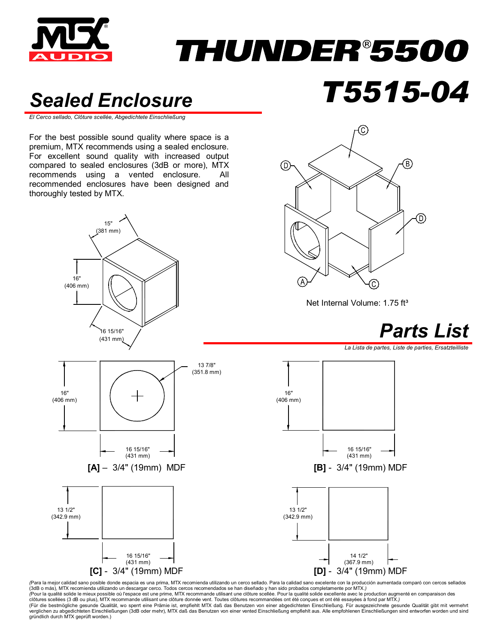

# *THUNDER®5500*

#### *Sealed Enclosure T5515-04*

*El Cerco sellado, Clôture scellée, Abgedichtete Einschließung* 

For the best possible sound quality where space is a premium, MTX recommends using a sealed enclosure. For excellent sound quality with increased output compared to sealed enclosures (3dB or more), MTX recommends using a vented enclosure. All recommended enclosures have been designed and thoroughly tested by MTX.





Net Internal Volume: 1.75 ft<sup>3</sup>



*La Lista de partes, Liste de parties, Ersatzteilliste* 



(Para la mejor calidad sano posible donde espacia es una prima, MTX recomienda utilizando un cerco sellado. Para la calidad sano excelente con la producción aumentada comparó con cercos sellados (3dB o más), MTX recomienda utilizando un descargar cerco. Todos cercos recomendados se han diseñado y han sido probados completamente por MTX.*)*  (Pour la qualité solide le mieux possible où l'espace est une prime, MTX recommande utilisant une dôture scellée. Pour la qualité solide excellente avec le production augmenté en comparaison des<br>clôtures scellées (3 dB ou verglichen zu abgedichteten Einschließungen (3dB oder mehr), MTX daß das Benutzen von einer vented Einschließung empfiehlt aus. Alle empfohlenen Einschließungen sind entworfen worden und sind<br>gründlich durch MTX geprüft wo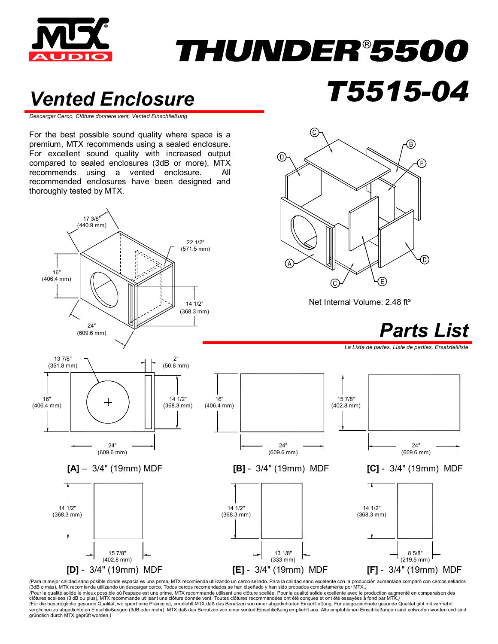

## THUNDER®5500

(C

⊚

#### *Vented Enclosure T5515-04*

*Descargar Cerco, Clôture donnere vent, Vented Einschließung*

For the best possible sound quality where space is a premium, MTX recommends using a sealed enclosure. For excellent sound quality with increased output compared to sealed enclosures (3dB or more), MTX recommends using a vented enclosure. All recommended enclosures have been designed and thoroughly tested by MTX.



*(*Para la mejor calidad sano posible donde espacia es una prima, MTX recomienda utilizando un cerco sellado. Para la calidad sano excelente con la producción aumentada comparó con cercos sellados (3dB o más), MTX recomienda utilizando un descargar cerco. Todos cercos recomendados se han diseñado y han sido probados completamente por MTX.*)*<br>(Pour la qualité solide le mieux possible où l'espace est une prime, MTX re clôtures scellées (3 dB ou plus), MTX recommande utilisant une clôture donnée vent. Toutes clôtures recommandées ont été conçues et ont été essayées à fond par MTX.)<br>(Für die bestmögliche gesunde Qualität, wo sperrt eine P verglichen zu abgedichteten Einschließungen (3dB oder mehr), MTX daß das Benutzen von einer vented Einschließung empfiehlt aus. Alle empfohlenen Einschließungen sind entworfen worden und sind gründlich durch MTX geprüft worden.*)*